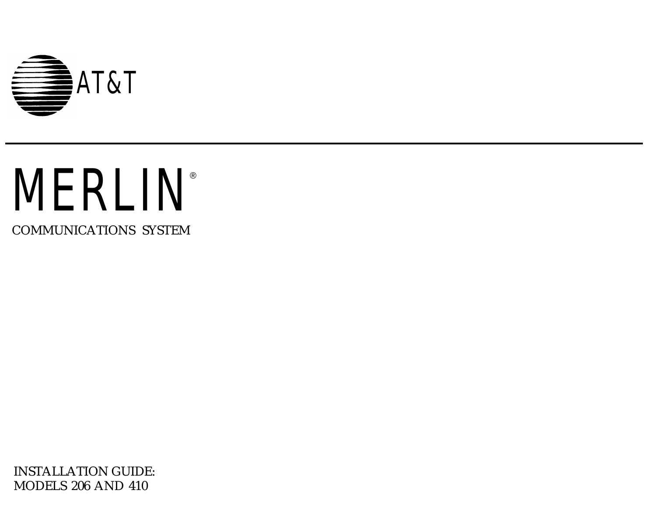

# **MERLIN®**

COMMUNICATIONS SYSTEM

INSTALLATION GUIDE: MODELS 206 AND 410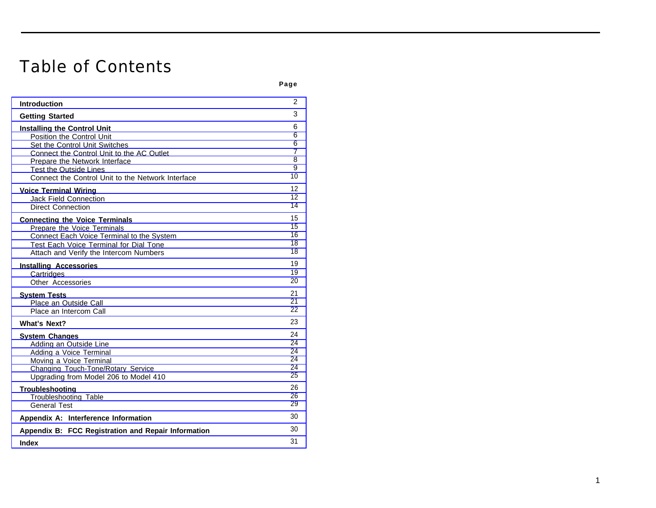## Table of Contents

| . .<br>۰.<br>$\sim$<br>×<br>۰. |
|--------------------------------|
|--------------------------------|

| <b>Introduction</b>                                 | 2               |
|-----------------------------------------------------|-----------------|
| <b>Getting Started</b>                              | 3               |
| <b>Installing the Control Unit</b>                  | 6               |
| Position the Control Unit                           | 6               |
| Set the Control Unit Switches                       | 6               |
| Connect the Control Unit to the AC Outlet           | $\overline{7}$  |
| Prepare the Network Interface                       | 8               |
| <b>Test the Outside Lines</b>                       | 9               |
| Connect the Control Unit to the Network Interface   | 10              |
| <b>Voice Terminal Wiring</b>                        | 12              |
| Jack Field Connection                               | 12 <sup>2</sup> |
| <b>Direct Connection</b>                            | 14              |
| <b>Connecting the Voice Terminals</b>               | 15              |
| Prepare the Voice Terminals                         | 15              |
| Connect Each Voice Terminal to the System           | 16              |
| Test Each Voice Terminal for Dial Tone              | 18              |
| Attach and Verify the Intercom Numbers              | 18              |
| <b>Installing Accessories</b>                       | 19              |
| Cartridges                                          | 19              |
| Other Accessories                                   | 20              |
| <b>System Tests</b>                                 | 21              |
| Place an Outside Call                               | 21              |
| Place an Intercom Call                              | 22              |
| <b>What's Next?</b>                                 | 23              |
| <b>System Changes</b>                               | 24              |
| Adding an Outside Line                              | 24              |
| Adding a Voice Terminal                             | 24              |
| Moving a Voice Terminal                             | 24              |
| Changing Touch-Tone/Rotary Service                  | 24              |
| Upgrading from Model 206 to Model 410               | 25              |
| <b>Troubleshooting</b>                              | 26              |
| Troubleshooting Table                               | 26              |
| <b>General Test</b>                                 | 29              |
| Appendix A: Interference Information                | 30              |
| Appendix B: FCC Registration and Repair Information | 30              |
| <b>Index</b>                                        | 31              |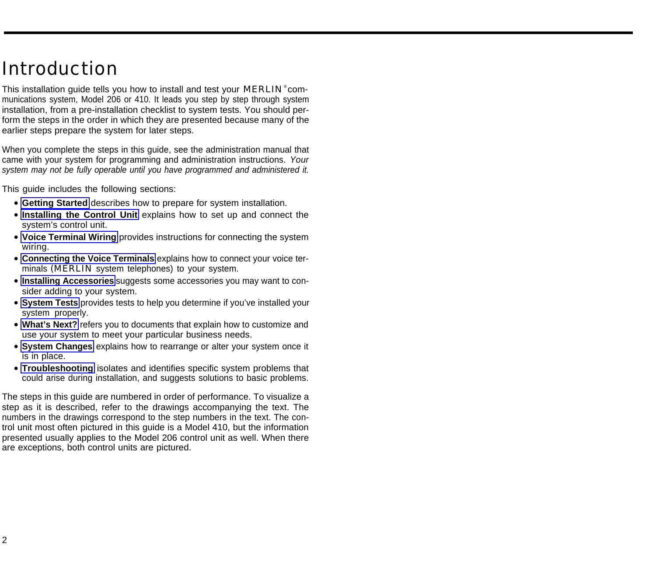## <span id="page-2-1"></span><span id="page-2-0"></span>Introduction

This installation guide tells you how to install and test your MERLIN<sup>®</sup> communications system, Model 206 or 410. It leads you step by step through system installation, from a pre-installation checklist to system tests. You should perform the steps in the order in which they are presented because many of the earlier steps prepare the system for later steps.

When you complete the steps in this guide, see the administration manual that came with your system for programming and administration instructions. Your system may not be fully operable until you have programmed and administered it.

This guide includes the following sections:

- **Getting Started** describes how to prepare for system installation.
- **[Installing the Control Unit](#page-6-3)** explains how to set up and connect the system's control unit.
- **[Voice Terminal Wiring](#page-12-2)** provides instructions for connecting the system wiring.
- **[Connecting the Voice Terminals](#page-15-2)** explains how to connect your voice terminals (MERLIN system telephones) to your system.
- **[Installing Accessories](#page-19-2)** suggests some accessories you may want to consider adding to your system.
- **[System Tests](#page-21-2)** provides tests to help you determine if you've installed your system properly.
- **[What's Next?](#page-23-1)** refers you to documents that explain how to customize and use your system to meet your particular business needs.
- **[System Changes](#page-24-5)** explains how to rearrange or alter your system once it is in place.
- **Troubleshooting** isolates and identifies specific system problems that could arise during installation, and suggests solutions to basic problems.

The steps in this guide are numbered in order of performance. To visualize a step as it is described, refer to the drawings accompanying the text. The numbers in the drawings correspond to the step numbers in the text. The control unit most often pictured in this guide is a Model 410, but the information presented usually applies to the Model 206 control unit as well. When there are exceptions, both control units are pictured.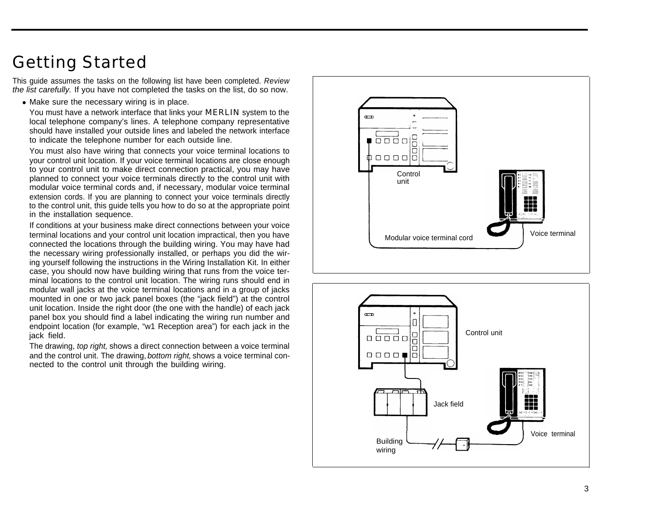## <span id="page-3-3"></span><span id="page-3-2"></span><span id="page-3-1"></span><span id="page-3-0"></span>Getting Started

This guide assumes the tasks on the following list have been completed. Review the list carefully. If you have not completed the tasks on the list, do so now.

• Make sure the necessary wiring is in place.

You must have a network interface that links your **MERLIN** system to the local telephone company's lines. A telephone company representative should have installed your outside lines and labeled the network interface to indicate the telephone number for each outside line.

You must also have wiring that connects your voice terminal locations to your control unit location. If your voice terminal locations are close enough to your control unit to make direct connection practical, you may have planned to connect your voice terminals directly to the control unit with modular voice terminal cords and, if necessary, modular voice terminal extension cords. If you are planning to connect your voice terminals directly to the control unit, this guide tells you how to do so at the appropriate point in the installation sequence.

If conditions at your business make direct connections between your voice terminal locations and your control unit location impractical, then you have connected the locations through the building wiring. You may have had the necessary wiring professionally installed, or perhaps you did the wiring yourself following the instructions in the Wiring Installation Kit. In either case, you should now have building wiring that runs from the voice terminal locations to the control unit location. The wiring runs should end in modular wall jacks at the voice terminal locations and in a group of jacks mounted in one or two jack panel boxes (the "jack field") at the control unit location. Inside the right door (the one with the handle) of each jack panel box you should find a label indicating the wiring run number and endpoint location (for example, "w1 Reception area") for each jack in the jack field.

The drawing, top right, shows a direct connection between a voice terminal and the control unit. The drawing, bottom right, shows a voice terminal connected to the control unit through the building wiring.



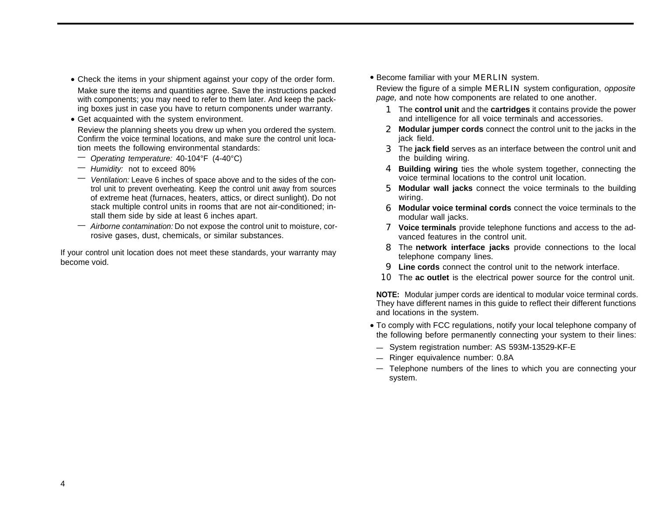- <span id="page-4-0"></span>• Check the items in your shipment against your copy of the order form. • Become familiar with your MERLIN system.
- with components; you may need to refer to them later. And keep the packing boxes just in case you have to return components under warranty.
- Get acquainted with the system environment.

Review the planning sheets you drew up when you ordered the system. Confirm the voice terminal locations, and make sure the control unit location meets the following environmental standards:

- Operating temperature: 40-104°F (4-40°C)
- Humidity: not to exceed 80%
- Ventilation: Leave 6 inches of space above and to the sides of the control unit to prevent overheating. Keep the control unit away from sources of extreme heat (furnaces, heaters, attics, or direct sunlight). Do not stack multiple control units in rooms that are not air-conditioned; install them side by side at least 6 inches apart.
- Airborne contamination: Do not expose the control unit to moisture, corrosive gases, dust, chemicals, or similar substances.

If your control unit location does not meet these standards, your warranty may become void.

• Become familiar with your MERLIN system.

Make sure the items and quantities agree. Save the instructions packed<br>with components: you may need to refer to them later. And keep the pack-<br>page, and note how components are related to one another.

- 1 The **control unit** and the **cartridges** it contains provide the power and intelligence for all voice terminals and accessories.
- 2 **Modular jumper cords** connect the control unit to the jacks in the jack field.
- 3 The **jack field** serves as an interface between the control unit and the building wiring.
- 4 **Building wiring** ties the whole system together, connecting the voice terminal locations to the control unit location.
- 5 **Modular wall jacks** connect the voice terminals to the building wiring.
- 6 **Modular voice terminal cords** connect the voice terminals to the modular wall jacks.
- 7 **Voice terminals** provide telephone functions and access to the advanced features in the control unit.
- 8 The **network interface jacks** provide connections to the local telephone company lines.
- 9 **Line cords** connect the control unit to the network interface.
- 10 The **ac outlet** is the electrical power source for the control unit.

**NOTE:** Modular jumper cords are identical to modular voice terminal cords. They have different names in this guide to reflect their different functions and locations in the system.

- To comply with FCC regulations, notify your local telephone company of the following before permanently connecting your system to their lines:
- System registration number: AS 593M-13529-KF-E
- Ringer equivalence number: 0.8A —
- Telephone numbers of the lines to which you are connecting your system.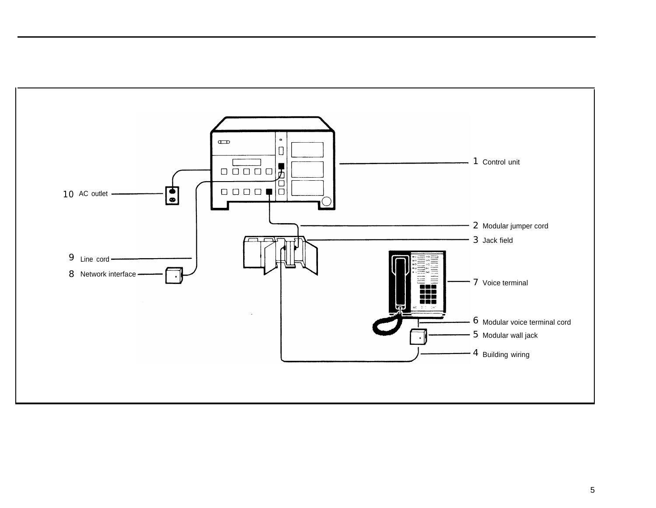<span id="page-5-0"></span>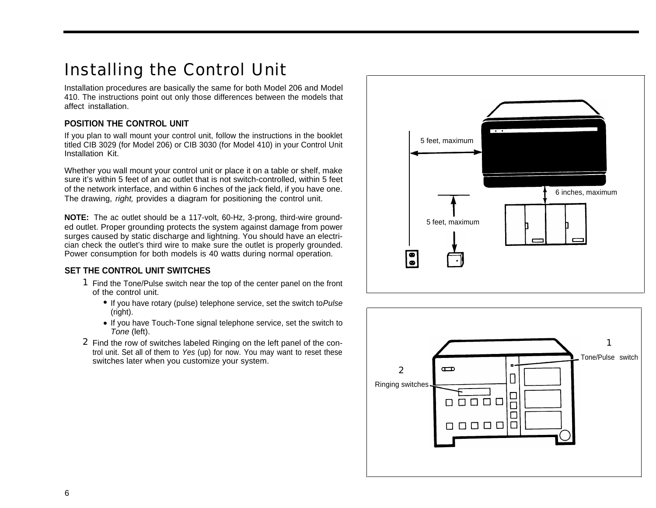## <span id="page-6-4"></span><span id="page-6-3"></span><span id="page-6-0"></span>Installing the Control Unit

Installation procedures are basically the same for both Model 206 and Model 410. The instructions point out only those differences between the models that affect installation.

#### <span id="page-6-1"></span>**POSITION THE CONTROL UNIT**

If you plan to wall mount your control unit, follow the instructions in the booklet titled CIB 3029 (for Model 206) or CIB 3030 (for Model 410) in your Control Unit Installation Kit.

Whether you wall mount your control unit or place it on a table or shelf, make sure it's within 5 feet of an ac outlet that is not switch-controlled, within 5 feet of the network interface, and within 6 inches of the jack field, if you have one. The drawing, *right*, provides a diagram for positioning the control unit.

<span id="page-6-2"></span>**NOTE:** The ac outlet should be a 117-volt, 60-Hz, 3-prong, third-wire ground-<br>5 feet, maximum ed outlet. Proper grounding protects the system against damage from power surges caused by static discharge and lightning. You should have an electrician check the outlet's third wire to make sure the outlet is properly grounded. Power consumption for both models is 40 watts during normal operation.

#### **SET THE CONTROL UNIT SWITCHES**

- 1 Find the Tone/Pulse switch near the top of the center panel on the front of the control unit.
	- If you have rotary (pulse) telephone service, set the switch to Pulse (right).
	- If you have Touch-Tone signal telephone service, set the switch to Tone (left).
- 2 Find the row of switches labeled Ringing on the left panel of the control unit. Set all of them to Yes (up) for now. You may want to reset these switches later when you customize your system.



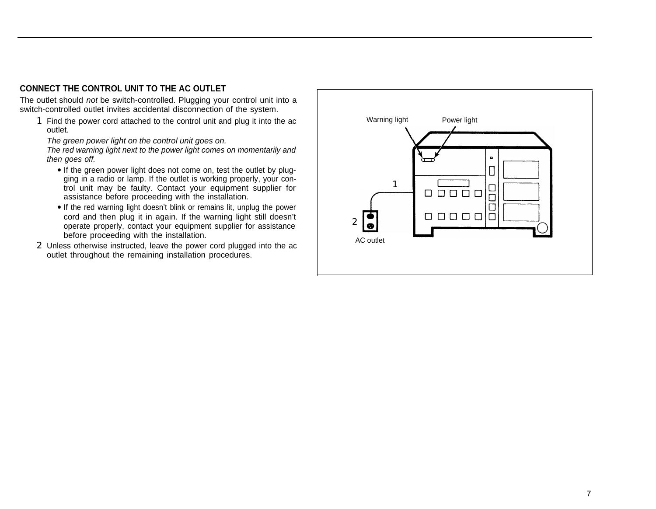#### <span id="page-7-1"></span><span id="page-7-0"></span>**CONNECT THE CONTROL UNIT TO THE AC OUTLET**

The outlet should not be switch-controlled. Plugging your control unit into a switch-controlled outlet invites accidental disconnection of the system.

1 Find the power cord attached to the control unit and plug it into the ac outlet.

The green power light on the control unit goes on.

The red warning light next to the power light comes on momentarily and then goes off.

- If the green power light does not come on, test the outlet by plugging in a radio or lamp. If the outlet is working properly, your control unit may be faulty. Contact your equipment supplier for assistance before proceeding with the installation.
- If the red warning light doesn't blink or remains lit, unplug the power cord and then plug it in again. If the warning light still doesn't operate properly, contact your equipment supplier for assistance before proceeding with the installation.
- 2 Unless otherwise instructed, leave the power cord plugged into the ac outlet throughout the remaining installation procedures.

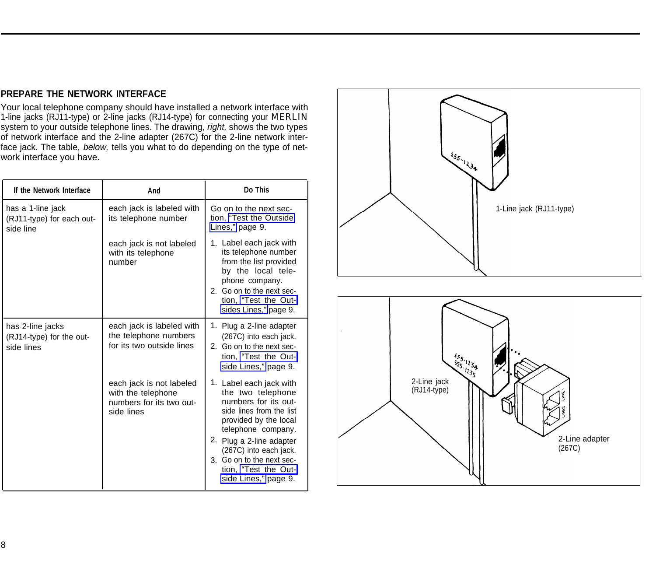#### <span id="page-8-2"></span><span id="page-8-1"></span><span id="page-8-0"></span>**PREPARE THE NETWORK INTERFACE**

Your local telephone company should have installed a network interface with 1-line jacks (RJ11-type) or 2-line jacks (RJ14-type) for connecting your MERLIN system to your outside telephone lines. The drawing, right, shows the two types of network interface and the 2-line adapter (267C) for the 2-line network interface jack. The table, *below*, tells you what to do depending on the type of network interface you have.

| If the Network Interface                                    | And                                                                                      | Do This                                                                                                                                                                                                                                                                            |
|-------------------------------------------------------------|------------------------------------------------------------------------------------------|------------------------------------------------------------------------------------------------------------------------------------------------------------------------------------------------------------------------------------------------------------------------------------|
| has a 1-line jack<br>(RJ11-type) for each out-<br>side line | each jack is labeled with<br>its telephone number                                        | Go on to the next sec-<br>tion, "Test the Outside"<br>Lines," page 9.                                                                                                                                                                                                              |
|                                                             | each jack is not labeled<br>with its telephone<br>number                                 | 1. Label each jack with<br>its telephone number<br>from the list provided<br>by the local tele-<br>phone company.<br>2. Go on to the next sec-<br>tion, "Test the Out-<br>sides Lines," page 9.                                                                                    |
| has 2-line jacks<br>(RJ14-type) for the out-<br>side lines  | each jack is labeled with<br>the telephone numbers<br>for its two outside lines          | 1. Plug a 2-line adapter<br>(267C) into each jack.<br>2. Go on to the next sec-<br>tion, "Test the Out-<br>side Lines," page 9.                                                                                                                                                    |
|                                                             | each jack is not labeled<br>with the telephone<br>numbers for its two out-<br>side lines | 1. Label each jack with<br>the two telephone<br>numbers for its out-<br>side lines from the list<br>provided by the local<br>telephone company.<br>2. Plug a 2-line adapter<br>(267C) into each jack.<br>3. Go on to the next sec-<br>tion, "Test the Out-<br>side Lines," page 9. |



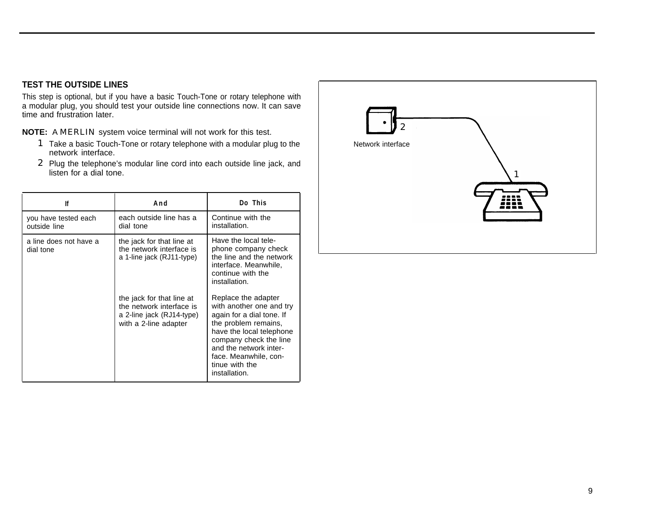#### <span id="page-9-2"></span><span id="page-9-1"></span><span id="page-9-0"></span>**TEST THE OUTSIDE LINES**

This step is optional, but if you have a basic Touch-Tone or rotary telephone with a modular plug, you should test your outside line connections now. It can save time and frustration later.

**NOTE:** A MERLIN system voice terminal will not work for this test.

- 1 Take a basic Touch-Tone or rotary telephone with a modular plug to the network interface.
- 2 Plug the telephone's modular line cord into each outside line jack, and listen for a dial tone.

| lf                                   | And                                                                                                         | Do This                                                                                                                                                                                                                                          |
|--------------------------------------|-------------------------------------------------------------------------------------------------------------|--------------------------------------------------------------------------------------------------------------------------------------------------------------------------------------------------------------------------------------------------|
| you have tested each<br>outside line | each outside line has a<br>dial tone                                                                        | Continue with the<br>installation.                                                                                                                                                                                                               |
| a line does not have a<br>dial tone  | the jack for that line at<br>the network interface is<br>a 1-line jack (RJ11-type)                          | Have the local tele-<br>phone company check<br>the line and the network<br>interface. Meanwhile,<br>continue with the<br>installation.                                                                                                           |
|                                      | the jack for that line at<br>the network interface is<br>a 2-line jack (RJ14-type)<br>with a 2-line adapter | Replace the adapter<br>with another one and try<br>again for a dial tone. If<br>the problem remains,<br>have the local telephone<br>company check the line<br>and the network inter-<br>face. Meanwhile, con-<br>tinue with the<br>installation. |

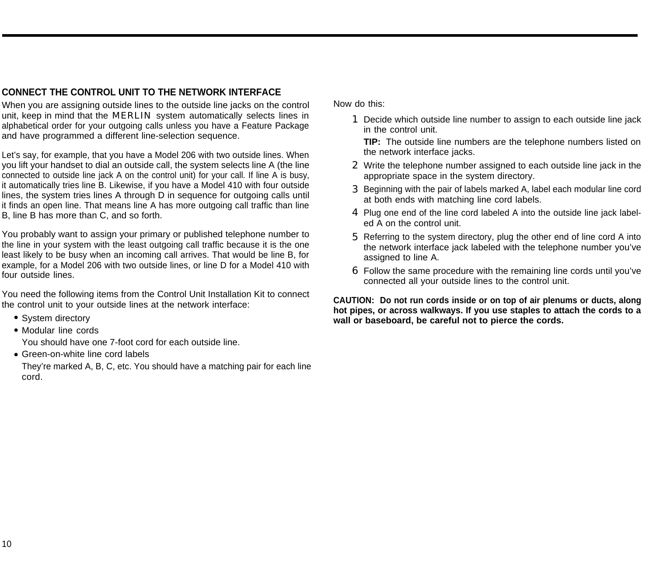#### <span id="page-10-2"></span><span id="page-10-1"></span><span id="page-10-0"></span>**CONNECT THE CONTROL UNIT TO THE NETWORK INTERFACE**

When you are assigning outside lines to the outside line jacks on the control unit, keep in mind that the **MERLIN** system automatically selects lines in alphabetical order for your outgoing calls unless you have a Feature Package and have programmed a different line-selection sequence.

Let's say, for example, that you have a Model 206 with two outside lines. When you lift your handset to dial an outside call, the system selects line A (the line connected to outside line jack A on the control unit) for your call. If line A is busy, it automatically tries line B. Likewise, if you have a Model 410 with four outside lines, the system tries lines A through D in sequence for outgoing calls until it finds an open line. That means line A has more outgoing call traffic than line B, line B has more than C, and so forth.

You probably want to assign your primary or published telephone number to the line in your system with the least outgoing call traffic because it is the one least likely to be busy when an incoming call arrives. That would be line B, for example, for a Model 206 with two outside lines, or line D for a Model 410 with four outside lines.

You need the following items from the Control Unit Installation Kit to connect the control unit to your outside lines at the network interface:

- System directory
- Modular line cords

You should have one 7-foot cord for each outside line.

• Green-on-white line cord labels

They're marked A, B, C, etc. You should have a matching pair for each line cord.

Now do this:

1 Decide which outside line number to assign to each outside line jack in the control unit.

**TIP:** The outside line numbers are the telephone numbers listed on the network interface jacks.

- 2 Write the telephone number assigned to each outside line jack in the appropriate space in the system directory.
- 3 Beginning with the pair of labels marked A, label each modular line cord at both ends with matching line cord labels.
- 4 Plug one end of the line cord labeled A into the outside line jack labeled A on the control unit.
- 5 Referring to the system directory, plug the other end of line cord A into the network interface jack labeled with the telephone number you've assigned to line A.
- 6 Follow the same procedure with the remaining line cords until you've connected all your outside lines to the control unit.

**CAUTION: Do not run cords inside or on top of air plenums or ducts, along hot pipes, or across walkways. If you use staples to attach the cords to a** wall or baseboard, be careful not to pierce the cords.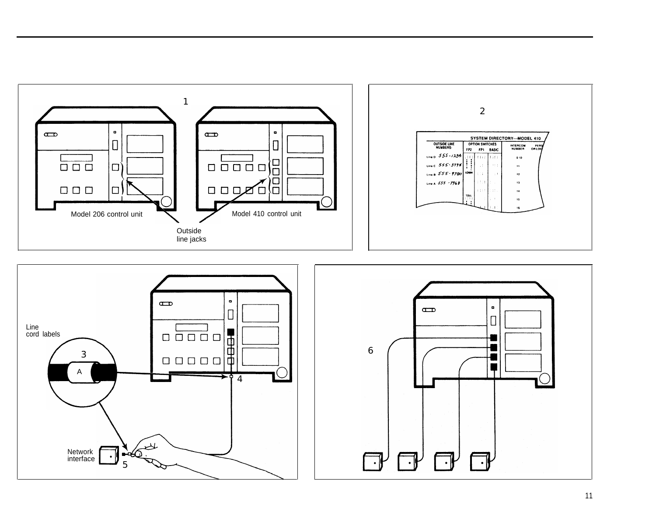<span id="page-11-1"></span><span id="page-11-0"></span>

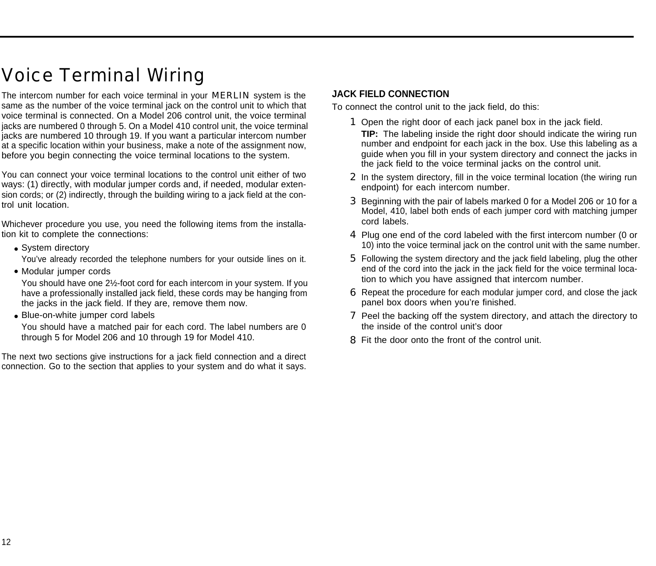## <span id="page-12-5"></span><span id="page-12-4"></span><span id="page-12-3"></span><span id="page-12-2"></span><span id="page-12-0"></span>Voice Terminal Wiring

The intercom number for each voice terminal in your **MERLIN** system is the same as the number of the voice terminal jack on the control unit to which that voice terminal is connected. On a Model 206 control unit, the voice terminal jacks are numbered 0 through 5. On a Model 410 control unit, the voice terminal jacks are numbered 10 through 19. If you want a particular intercom number at a specific location within your business, make a note of the assignment now, before you begin connecting the voice terminal locations to the system.

You can connect your voice terminal locations to the control unit either of two ways: (1) directly, with modular jumper cords and, if needed, modular extension cords; or (2) indirectly, through the building wiring to a jack field at the control unit location.

Whichever procedure you use, you need the following items from the installation kit to complete the connections:

• System directory

You've already recorded the telephone numbers for your outside lines on it.

• Modular jumper cords

You should have one 2½-foot cord for each intercom in your system. If you have a professionally installed jack field, these cords may be hanging from the jacks in the jack field. If they are, remove them now.

• Blue-on-white jumper cord labels

You should have a matched pair for each cord. The label numbers are 0 through 5 for Model 206 and 10 through 19 for Model 410.

The next two sections give instructions for a jack field connection and a direct connection. Go to the section that applies to your system and do what it says.

#### <span id="page-12-1"></span>**JACK FIELD CONNECTION**

To connect the control unit to the jack field, do this:

- 1 Open the right door of each jack panel box in the jack field. **TIP:** The labeling inside the right door should indicate the wiring run number and endpoint for each jack in the box. Use this labeling as a guide when you fill in your system directory and connect the jacks in the jack field to the voice terminal jacks on the control unit.
- 2 In the system directory, fill in the voice terminal location (the wiring run endpoint) for each intercom number.
- 3 Beginning with the pair of labels marked 0 for a Model 206 or 10 for a Model, 410, label both ends of each jumper cord with matching jumper cord labels.
- 4 Plug one end of the cord labeled with the first intercom number (0 or 10) into the voice terminal jack on the control unit with the same number.
- 5 Following the system directory and the jack field labeling, plug the other end of the cord into the jack in the jack field for the voice terminal location to which you have assigned that intercom number.
- 6 Repeat the procedure for each modular jumper cord, and close the jack panel box doors when you're finished.
- **7** Peel the backing off the system directory, and attach the directory to the inside of the control unit's door
- 8 Fit the door onto the front of the control unit.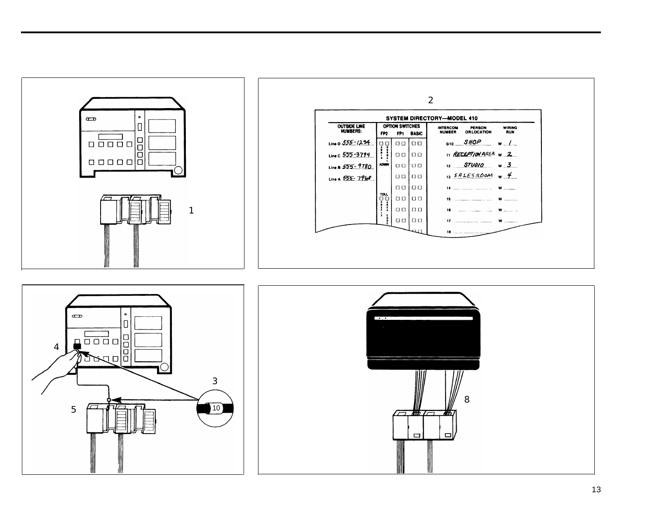<span id="page-13-0"></span>



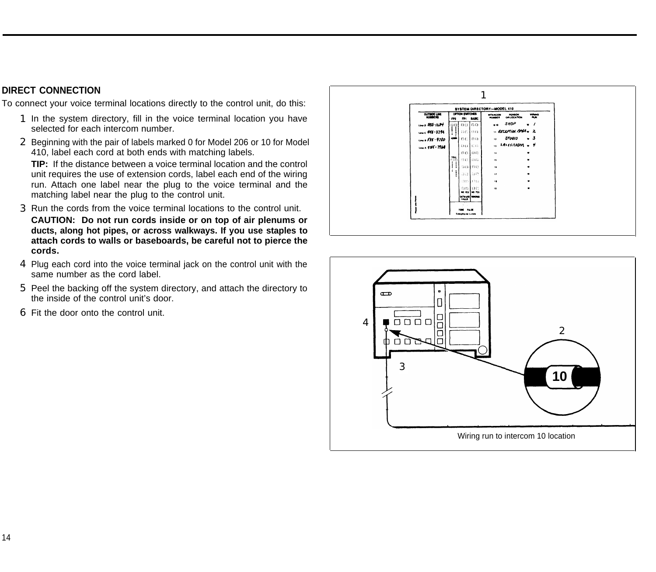#### <span id="page-14-1"></span><span id="page-14-0"></span>**DIRECT CONNECTION**

To connect your voice terminal locations directly to the control unit, do this:

- 1 In the system directory, fill in the voice terminal location you have selected for each intercom number.
- 2 Beginning with the pair of labels marked 0 for Model 206 or 10 for Model 410, label each cord at both ends with matching labels.

**TIP:** If the distance between a voice terminal location and the control unit requires the use of extension cords, label each end of the wiring run. Attach one label near the plug to the voice terminal and the matching label near the plug to the control unit.

- 3 Run the cords from the voice terminal locations to the control unit. **CAUTION: Do not run cords inside or on top of air plenums or ducts, along hot pipes, or across walkways. If you use staples to attach cords to walls or baseboards, be careful not to pierce the cords.**
- 4 Plug each cord into the voice terminal jack on the control unit with the same number as the cord label.
- 5 Peel the backing off the system directory, and attach the directory to the inside of the control unit's door.
- 6 Fit the door onto the control unit.



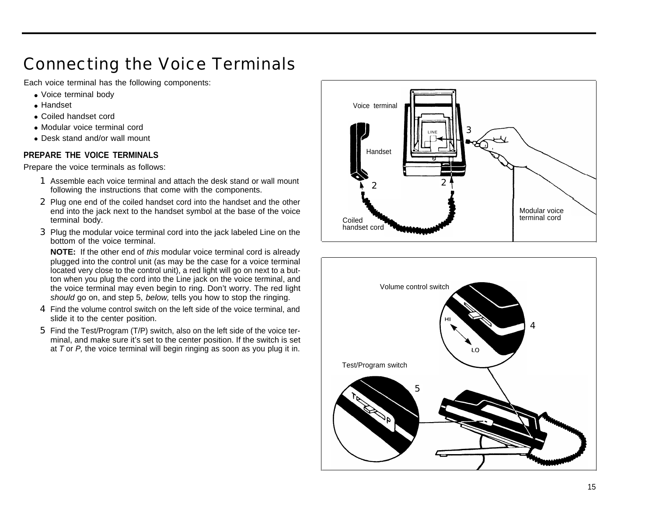## <span id="page-15-7"></span><span id="page-15-6"></span><span id="page-15-5"></span><span id="page-15-4"></span><span id="page-15-2"></span><span id="page-15-0"></span>Connecting the Voice Terminals

Each voice terminal has the following components:

- Voice terminal body
- Handset
- Coiled handset cord
- Modular voice terminal cord
- Desk stand and/or wall mount

#### <span id="page-15-1"></span>**PREPARE THE VOICE TERMINALS**

Prepare the voice terminals as follows:

- 1 Assemble each voice terminal and attach the desk stand or wall mount following the instructions that come with the components.
- 2 Plug one end of the coiled handset cord into the handset and the other end into the jack next to the handset symbol at the base of the voice terminal body.
- <span id="page-15-3"></span>3 Plug the modular voice terminal cord into the jack labeled Line on the bottom of the voice terminal.

**NOTE:** If the other end of this modular voice terminal cord is already plugged into the control unit (as may be the case for a voice terminal located very close to the control unit), a red light will go on next to a button when you plug the cord into the Line jack on the voice terminal, and the voice terminal may even begin to ring. Don't worry. The red light should go on, and step 5, below, tells you how to stop the ringing.

- 4 Find the volume control switch on the left side of the voice terminal, and slide it to the center position.
- 5 Find the Test/Program (T/P) switch, also on the left side of the voice terminal, and make sure it's set to the center position. If the switch is set at  $T$  or  $P$ , the voice terminal will begin ringing as soon as you plug it in.



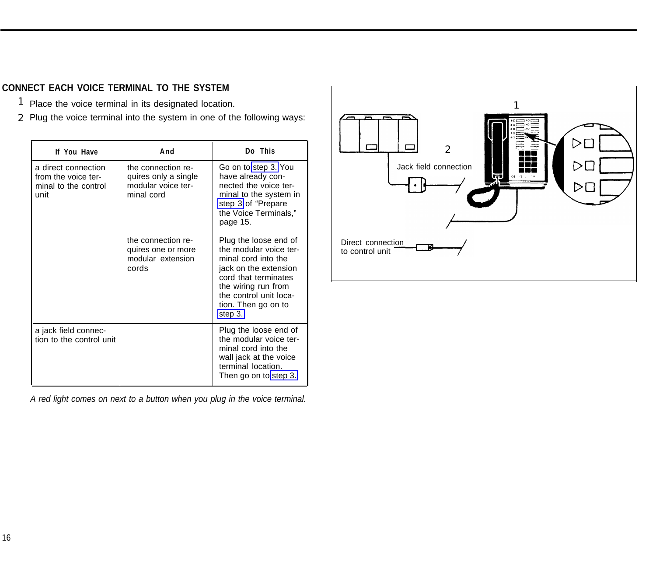### <span id="page-16-2"></span><span id="page-16-1"></span><span id="page-16-0"></span>**CONNECT EACH VOICE TERMINAL TO THE SYSTEM**

- 1 Place the voice terminal in its designated location.
- 2 Plug the voice terminal into the system in one of the following ways:

| If You Have                                                                | And                                                                            | Do This                                                                                                                                                                                                    |                                      | 2               |
|----------------------------------------------------------------------------|--------------------------------------------------------------------------------|------------------------------------------------------------------------------------------------------------------------------------------------------------------------------------------------------------|--------------------------------------|-----------------|
| a direct connection<br>from the voice ter-<br>minal to the control<br>unit | the connection re-<br>quires only a single<br>modular voice ter-<br>minal cord | Go on to step 3. You<br>have already con-<br>nected the voice ter-<br>minal to the system in<br>step 3 of "Prepare<br>the Voice Terminals,"<br>page 15.                                                    |                                      | Jack field conn |
|                                                                            | the connection re-<br>quires one or more<br>modular extension<br>cords         | Plug the loose end of<br>the modular voice ter-<br>minal cord into the<br>jack on the extension<br>cord that terminates<br>the wiring run from<br>the control unit loca-<br>tion. Then go on to<br>step 3. | Direct connection<br>to control unit |                 |
| a jack field connec-<br>tion to the control unit                           |                                                                                | Plug the loose end of<br>the modular voice ter-<br>minal cord into the<br>wall jack at the voice<br>terminal location.<br>Then go on to step 3.                                                            |                                      |                 |



A red light comes on next to a button when you plug in the voice terminal.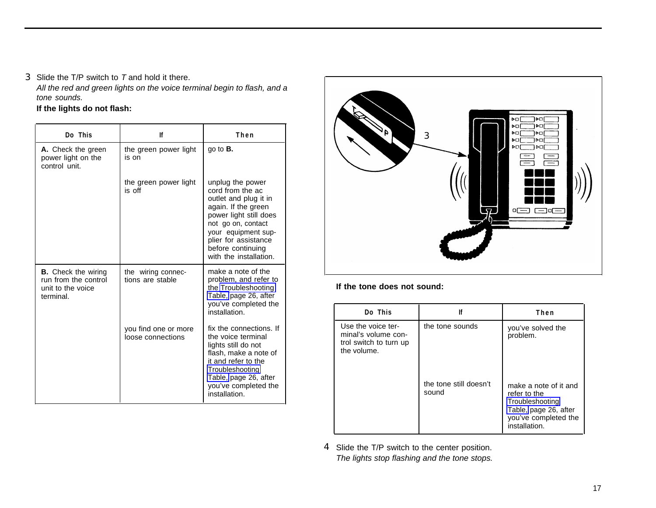<span id="page-17-1"></span><span id="page-17-0"></span>**3** Slide the  $T/P$  switch to  $T$  and hold it there.

All the red and green lights on the voice terminal begin to flash, and a tone sounds.

#### **If the lights do not flash:**

| Do This                                                                              | lf                                        | Then                                                                                                                                                                                                                               |
|--------------------------------------------------------------------------------------|-------------------------------------------|------------------------------------------------------------------------------------------------------------------------------------------------------------------------------------------------------------------------------------|
| A. Check the green<br>power light on the<br>control unit.                            | the green power light<br>is on            | go to $B$ .                                                                                                                                                                                                                        |
|                                                                                      | the green power light<br>is off           | unplug the power<br>cord from the ac<br>outlet and plug it in<br>again. If the green<br>power light still does<br>not go on, contact<br>your equipment sup-<br>plier for assistance<br>before continuing<br>with the installation. |
| <b>B.</b> Check the wiring<br>run from the control<br>unit to the voice<br>terminal. | the wiring connec-<br>tions are stable    | make a note of the<br>problem, and refer to<br>the Troubleshooting<br>Table, page 26, after<br>you've completed the<br>installation.                                                                                               |
|                                                                                      | you find one or more<br>loose connections | fix the connections. If<br>the voice terminal<br>lights still do not<br>flash, make a note of<br>it and refer to the<br>Troubleshooting<br>Table, page 26, after<br>you've completed the<br>installation.                          |



#### **If the tone does not sound:**

| Do This                                                                            | lf                              | Then                                                                                                                       |
|------------------------------------------------------------------------------------|---------------------------------|----------------------------------------------------------------------------------------------------------------------------|
| Use the voice ter-<br>minal's volume con-<br>trol switch to turn up<br>the volume. | the tone sounds                 | you've solved the<br>problem.                                                                                              |
|                                                                                    | the tone still doesn't<br>sound | make a note of it and<br>refer to the<br>Troubleshooting<br>Table, page 26, after<br>you've completed the<br>installation. |

4 Slide the T/P switch to the center position. The lights stop flashing and the tone stops.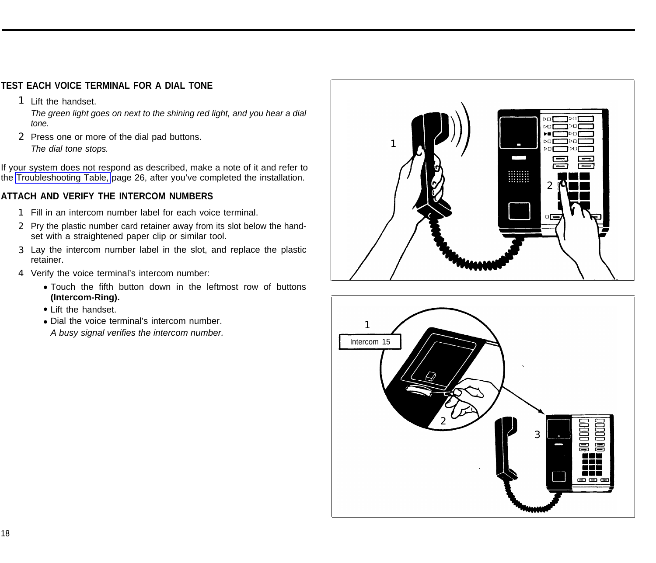#### <span id="page-18-3"></span><span id="page-18-2"></span><span id="page-18-0"></span>**TEST EACH VOICE TERMINAL FOR A DIAL TONE**

1 Lift the handset.

The green light goes on next to the shining red light, and you hear a dial tone.

2 Press one or more of the dial pad buttons. The dial tone stops.

If your system does not respond as described, make a note of it and refer to the [Troubleshooting Table,](#page-26-3) page 26, after you've completed the installation.

#### <span id="page-18-1"></span>**ATTACH AND VERIFY THE INTERCOM NUMBERS**

- 1 Fill in an intercom number label for each voice terminal.
- 2 Pry the plastic number card retainer away from its slot below the handset with a straightened paper clip or similar tool.
- 3 Lay the intercom number label in the slot, and replace the plastic retainer.
- 4 Verify the voice terminal's intercom number:
	- Touch the fifth button down in the leftmost row of buttons **(Intercom-Ring).**
	- Lift the handset.
	- Dial the voice terminal's intercom number.

A busy signal verifies the intercom number.



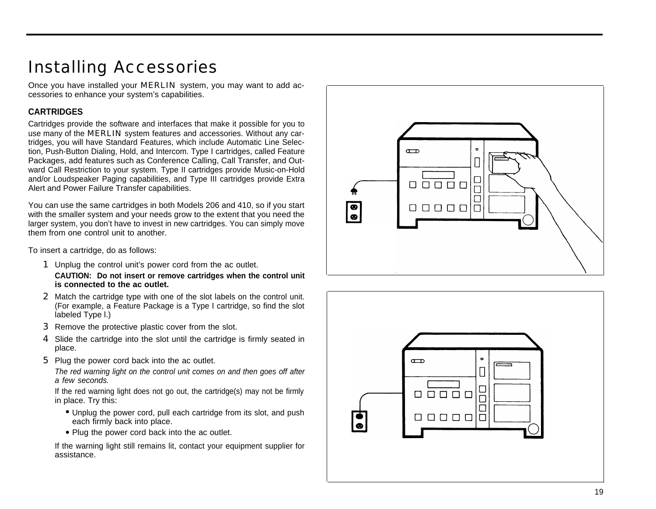## <span id="page-19-4"></span><span id="page-19-3"></span><span id="page-19-2"></span><span id="page-19-0"></span>Installing Accessories

Once you have installed your MERLIN system, you may want to add accessories to enhance your system's capabilities.

#### <span id="page-19-1"></span>**CARTRIDGES**

Cartridges provide the software and interfaces that make it possible for you to use many of the **MERLIN** system features and accessories. Without any cartridges, you will have Standard Features, which include Automatic Line Selection, Push-Button Dialing, Hold, and Intercom. Type I cartridges, called Feature Packages, add features such as Conference Calling, Call Transfer, and Outward Call Restriction to your system. Type II cartridges provide Music-on-Hold and/or Loudspeaker Paging capabilities, and Type III cartridges provide Extra Alert and Power Failure Transfer capabilities.

You can use the same cartridges in both Models 206 and 410, so if you start with the smaller system and your needs grow to the extent that you need the larger system, you don't have to invest in new cartridges. You can simply move them from one control unit to another.

To insert a cartridge, do as follows:

**1** Unplug the control unit's power cord from the ac outlet.

**CAUTION: Do not insert or remove cartridges when the control unit is connected to the ac outlet.**

- 1<br>2<br>3<br>4<br>5 2 Match the cartridge type with one of the slot labels on the control unit. (For example, a Feature Package is a Type I cartridge, so find the slot labeled Type l.)
- **3** Remove the protective plastic cover from the slot.
- 4 Slide the cartridge into the slot until the cartridge is firmly seated in place.
- **5** Plug the power cord back into the ac outlet.

The red warning light on the control unit comes on and then goes off after a few seconds.

If the red warning light does not go out, the cartridge(s) may not be firmly in place. Try this:

- Unplug the power cord, pull each cartridge from its slot, and push each firmly back into place.
- Plug the power cord back into the ac outlet.

If the warning light still remains lit, contact your equipment supplier for • Unplug<br>each fi<br>• Plug the warning<br>assistance.



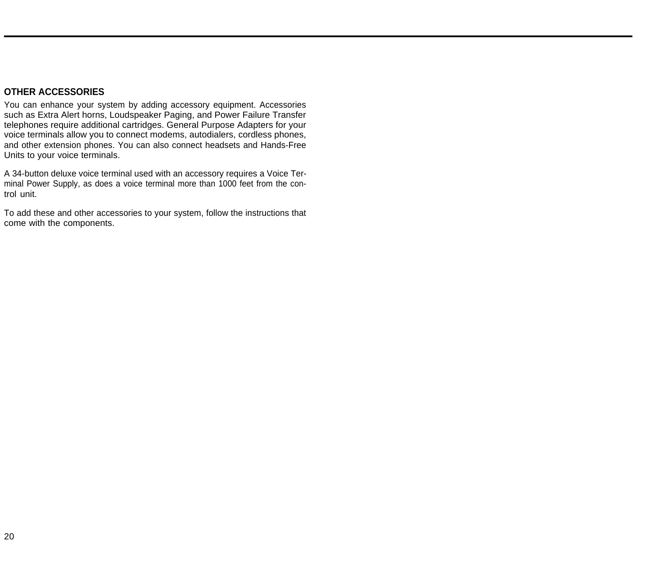#### <span id="page-20-1"></span><span id="page-20-0"></span>**OTHER ACCESSORIES**

You can enhance your system by adding accessory equipment. Accessories such as Extra Alert horns, Loudspeaker Paging, and Power Failure Transfer telephones require additional cartridges. General Purpose Adapters for your voice terminals allow you to connect modems, autodialers, cordless phones, and other extension phones. You can also connect headsets and Hands-Free Units to your voice terminals.

A 34-button deluxe voice terminal used with an accessory requires a Voice Terminal Power Supply, as does a voice terminal more than 1000 feet from the control unit.

To add these and other accessories to your system, follow the instructions that come with the components.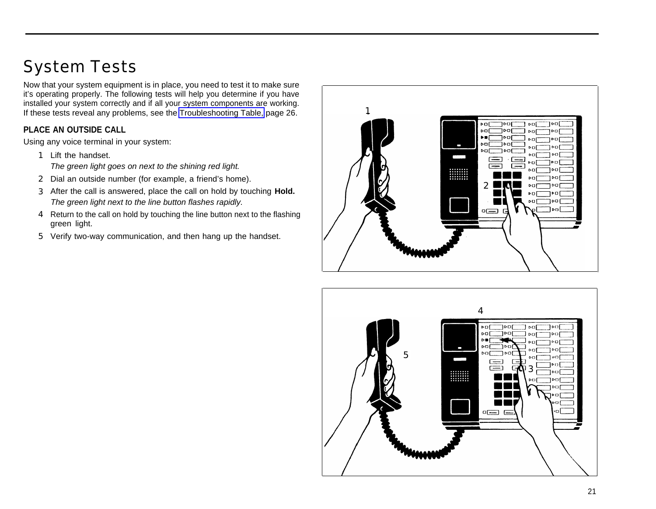# <span id="page-21-3"></span><span id="page-21-2"></span><span id="page-21-0"></span>System Tests

Now that your system equipment is in place, you need to test it to make sure it's operating properly. The following tests will help you determine if you have installed your system correctly and if all your system components are working. If these tests reveal any problems, see the [Troubleshooting Table,](#page-26-4) page  $26.$ 

#### <span id="page-21-1"></span>**PLACE AN OUTSIDE CALL**

Using any voice terminal in your system:

- 1 Lift the handset. The green light goes on next to the shining red light.
- 2 Dial an outside number (for example, a friend's home).
- 3 After the call is answered, place the call on hold by touching **Hold.** The green light next to the line button flashes rapidly.
- 4 Return to the call on hold by touching the line button next to the flashing green light.
- 5 Verify two-way communication, and then hang up the handset.



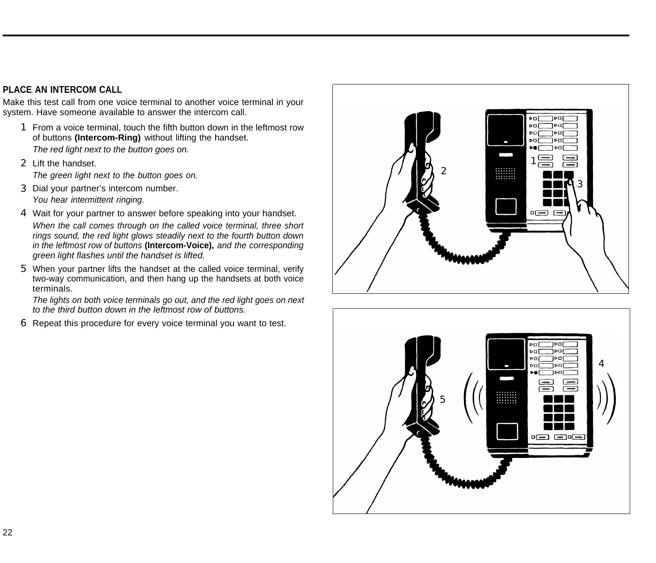#### <span id="page-22-1"></span><span id="page-22-0"></span>**PLACE AN INTERCOM CALL**

Make this test call from one voice terminal to another voice terminal in your system. Have someone available to answer the intercom call.

- 1 From a voice terminal, touch the fifth button down in the leftmost row of buttons **(Intercom-Ring)** without lifting the handset. The red light next to the button goes on.
- 2 Lift the handset. The green light next to the button goes on.
- 3 Dial your partner's intercom number. You hear intermittent ringing.
- 4 Wait for your partner to answer before speaking into your handset. When the call comes through on the called voice terminal, three short rings sound, the red light glows steadily next to the fourth button down in the leftmost row of buttons **(Intercom-Voice),** and the corresponding green light flashes until the handset is lifted.
- 5 When your partner lifts the handset at the called voice terminal, verify two-way communication, and then hang up the handsets at both voice terminals.

The lights on both voice terminals go out, and the red light goes on next to the third button down in the leftmost row of buttons.

6 Repeat this procedure for every voice terminal you want to test.



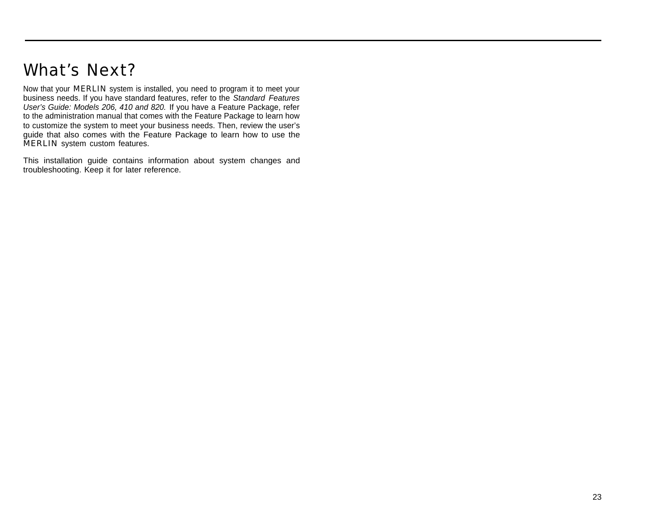## <span id="page-23-3"></span><span id="page-23-2"></span><span id="page-23-1"></span><span id="page-23-0"></span>What's Next?

Now that your MERLIN system is installed, you need to program it to meet your business needs. If you have standard features, refer to the Standard Features User's Guide: Models 206, 410 and 820. If you have a Feature Package, refer to the administration manual that comes with the Feature Package to learn how to customize the system to meet your business needs. Then, review the user's guide that also comes with the Feature Package to learn how to use the MERLIN system custom features.

This installation guide contains information about system changes and troubleshooting. Keep it for later reference.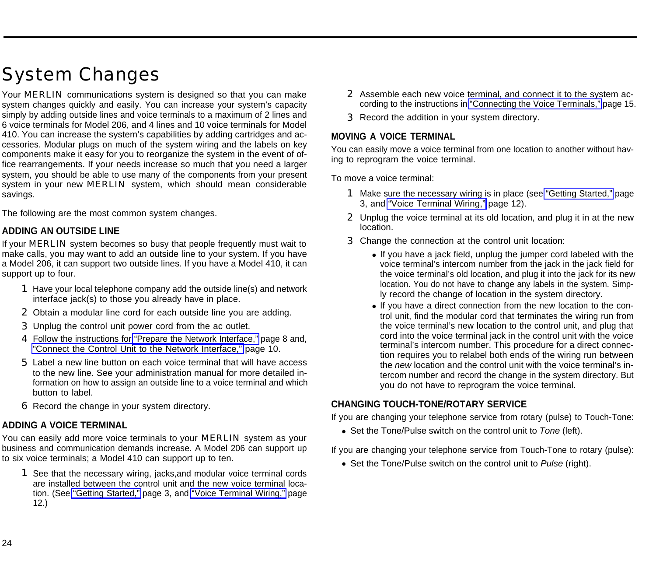## <span id="page-24-6"></span><span id="page-24-5"></span><span id="page-24-0"></span>System Changes

Your **MERLIN** communications system is designed so that you can make system changes quickly and easily. You can increase your system's capacity simply by adding outside lines and voice terminals to a maximum of 2 lines and 6 voice terminals for Model 206, and 4 lines and 10 voice terminals for Model 410. You can increase the system's capabilities by adding cartridges and accessories. Modular plugs on much of the system wiring and the labels on key components make it easy for you to reorganize the system in the event of office rearrangements. If your needs increase so much that you need a larger system, you should be able to use many of the components from your present system in your new MERLIN system, which should mean considerable savings.

<span id="page-24-1"></span>The following are the most common system changes.

#### **ADDING AN OUTSIDE LINE**

<span id="page-24-2"></span>If your **MERLIN** system becomes so busy that people frequently must wait to make calls, you may want to add an outside line to your system. If you have a Model 206, it can support two outside lines. If you have a Model 410, it can support up to four.

- 1 Have your local telephone company add the outside line(s) and network interface jack(s) to those you already have in place.
- 2 Obtain a modular line cord for each outside line you are adding.
- 3 Unplug the control unit power cord from the ac outlet.
- 4 Follow the instructions for ["Prepare the Network Interface,"](#page-8-1) page 8 and, ["Connect the Control Unit to the Network Interface,"](#page-10-1) page 10.
- 5 Label a new line button on each voice terminal that will have access to the new line. See your administration manual for more detailed information on how to assign an outside line to a voice terminal and which button to label.
- 6 Record the change in your system directory.

#### **ADDING A VOICE TERMINAL**

You can easily add more voice terminals to your **MERLIN** system as your business and communication demands increase. A Model 206 can support up to six voice terminals; a Model 410 can support up to ten.

1 See that the necessary wiring, jacks,and modular voice terminal cords are installed between the control unit and the new voice terminal location. (See ["Getting Started,"](#page-3-2) page 3, and ["Voice Terminal Wiring,"](#page-12-3) page 12.)

- 2 Assemble each new voice terminal, and connect it to the system according to the instructions in ["Connecting the Voice Terminals,"](#page-15-4) page 15.
- 3 Record the addition in your system directory.

#### <span id="page-24-3"></span>**MOVING A VOICE TERMINAL**

You can easily move a voice terminal from one location to another without having to reprogram the voice terminal.

To move a voice terminal:

- 1 Make sure the necessary wiring is in place (see ["Getting Started,"](#page-3-2) page 3, and ["Voice Terminal Wiring,"](#page-12-3) page 12).
- 2 Unplug the voice terminal at its old location, and plug it in at the new location.
- <span id="page-24-4"></span>3 Change the connection at the control unit location:
	- If you have a jack field, unplug the jumper cord labeled with the voice terminal's intercom number from the jack in the jack field for the voice terminal's old location, and plug it into the jack for its new location. You do not have to change any labels in the system. Simply record the change of location in the system directory.
	- If you have a direct connection from the new location to the control unit, find the modular cord that terminates the wiring run from the voice terminal's new location to the control unit, and plug that cord into the voice terminal jack in the control unit with the voice terminal's intercom number. This procedure for a direct connection requires you to relabel both ends of the wiring run between the new location and the control unit with the voice terminal's intercom number and record the change in the system directory. But you do not have to reprogram the voice terminal.

#### **CHANGING TOUCH-TONE/ROTARY SERVICE**

If you are changing your telephone service from rotary (pulse) to Touch-Tone:

• Set the Tone/Pulse switch on the control unit to Tone (left).

If you are changing your telephone service from Touch-Tone to rotary (pulse):

• Set the Tone/Pulse switch on the control unit to Pulse (right).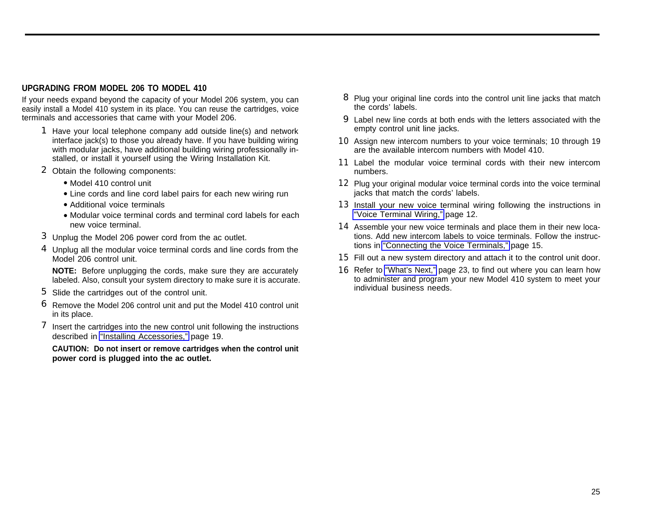#### <span id="page-25-1"></span><span id="page-25-0"></span>**UPGRADING FROM MODEL 206 TO MODEL 410**

If your needs expand beyond the capacity of your Model 206 system, you can easily install a Model 410 system in its place. You can reuse the cartridges, voice terminals and accessories that came with your Model 206.

- 1 Have your local telephone company add outside line(s) and network interface jack(s) to those you already have. If you have building wiring with modular jacks, have additional building wiring professionally installed, or install it yourself using the Wiring Installation Kit.
- 2 Obtain the following components:
	- Model 410 control unit
	- Line cords and line cord label pairs for each new wiring run
	- Additional voice terminals
	- Modular voice terminal cords and terminal cord labels for each new voice terminal.
- 3 Unplug the Model 206 power cord from the ac outlet.
- 4 Unplug all the modular voice terminal cords and line cords from the Model 206 control unit.

**NOTE:** Before unplugging the cords, make sure they are accurately labeled. Also, consult your system directory to make sure it is accurate.

- 5 Slide the cartridges out of the control unit.
- 6 Remove the Model 206 control unit and put the Model 410 control unit in its place.
- **7** Insert the cartridges into the new control unit following the instructions described in ["Installing Accessories,"](#page-19-3) page 19.

**CAUTION: Do not insert or remove cartridges when the control unit power cord is plugged into the ac outlet.**

- 8 Plug your original line cords into the control unit line jacks that match the cords' labels.
- 9 Label new line cords at both ends with the letters associated with the empty control unit line jacks.
- 10 Assign new intercom numbers to your voice terminals; 10 through 19 are the available intercom numbers with Model 410.
- 11 Label the modular voice terminal cords with their new intercom numbers.
- 12 Plug your original modular voice terminal cords into the voice terminal jacks that match the cords' labels.
- 13 Install your new voice terminal wiring following the instructions in ["Voice Terminal Wiring,"](#page-12-4) page 12.
- 14 Assemble your new voice terminals and place them in their new locations. Add new intercom labels to voice terminals. Follow the instructions in ["Connecting the Voice Terminals,"](#page-15-5) page 15.
- 15 Fill out a new system directory and attach it to the control unit door.
- **16** Refer to ["What's Next,"](#page-23-2) page 23, to find out where you can learn how to administer and program your new Model 410 system to meet your individual business needs.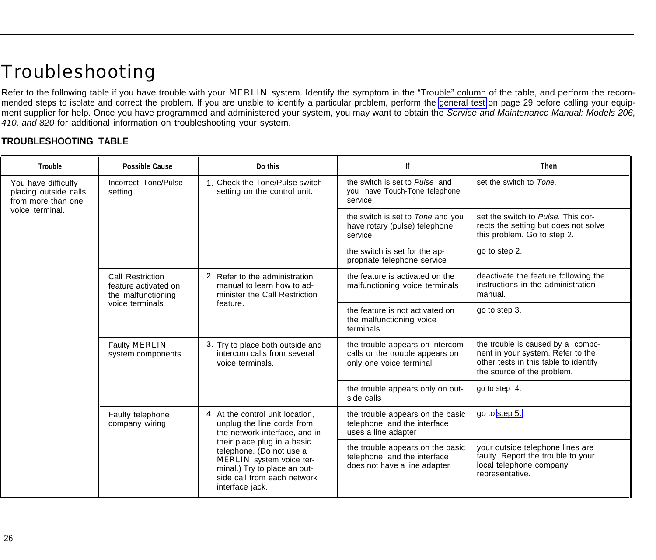# <span id="page-26-6"></span><span id="page-26-2"></span><span id="page-26-0"></span>Troubleshooting

Refer to the following table if you have trouble with your MERLIN system. Identify the symptom in the "Trouble" column of the table, and perform the recommended steps to isolate and correct the problem. If you are unable to identify a particular problem, perform the [general test](#page-29-1) on page 29 before calling your equipment supplier for help. Once you have programmed and administered your system, you may want to obtain the Service and Maintenance Manual: Models 206, 410, and 820 for additional information on troubleshooting your system.

#### <span id="page-26-5"></span><span id="page-26-4"></span><span id="page-26-3"></span><span id="page-26-1"></span>**TROUBLESHOOTING TABLE**

| <b>Trouble</b>                                                     | <b>Possible Cause</b>                                                                                                                 | Do this                                                                                                                                                               | lf                                                                                               | <b>Then</b>                                                                                                                                   |
|--------------------------------------------------------------------|---------------------------------------------------------------------------------------------------------------------------------------|-----------------------------------------------------------------------------------------------------------------------------------------------------------------------|--------------------------------------------------------------------------------------------------|-----------------------------------------------------------------------------------------------------------------------------------------------|
| You have difficulty<br>placing outside calls<br>from more than one | Incorrect Tone/Pulse<br>setting                                                                                                       | 1. Check the Tone/Pulse switch<br>setting on the control unit.                                                                                                        | the switch is set to Pulse and<br>you have Touch-Tone telephone<br>service                       | set the switch to Tone.                                                                                                                       |
| voice terminal.                                                    |                                                                                                                                       |                                                                                                                                                                       | the switch is set to Tone and you<br>have rotary (pulse) telephone<br>service                    | set the switch to Pulse. This cor-<br>rects the setting but does not solve<br>this problem. Go to step 2.                                     |
|                                                                    |                                                                                                                                       |                                                                                                                                                                       | the switch is set for the ap-<br>propriate telephone service                                     | go to step 2.                                                                                                                                 |
|                                                                    | Call Restriction<br>feature activated on<br>the malfunctioning                                                                        | 2. Refer to the administration<br>manual to learn how to ad-<br>minister the Call Restriction                                                                         | the feature is activated on the<br>malfunctioning voice terminals                                | deactivate the feature following the<br>instructions in the administration<br>manual.                                                         |
|                                                                    | voice terminals                                                                                                                       | feature.                                                                                                                                                              | the feature is not activated on<br>the malfunctioning voice<br>terminals                         | go to step 3.                                                                                                                                 |
|                                                                    | Faulty <b>MERLIN</b><br>intercom calls from several<br>system components<br>voice terminals.                                          | 3. Try to place both outside and                                                                                                                                      | the trouble appears on intercom<br>calls or the trouble appears on<br>only one voice terminal    | the trouble is caused by a compo-<br>nent in your system. Refer to the<br>other tests in this table to identify<br>the source of the problem. |
|                                                                    |                                                                                                                                       |                                                                                                                                                                       | the trouble appears only on out-<br>side calls                                                   | go to step 4.                                                                                                                                 |
|                                                                    | 4. At the control unit location,<br>Faulty telephone<br>unplug the line cords from<br>company wiring<br>the network interface, and in | the trouble appears on the basic<br>telephone, and the interface<br>uses a line adapter                                                                               | go to step 5.                                                                                    |                                                                                                                                               |
|                                                                    |                                                                                                                                       | their place plug in a basic<br>telephone. (Do not use a<br>MERLIN system voice ter-<br>minal.) Try to place an out-<br>side call from each network<br>interface jack. | the trouble appears on the basic<br>telephone, and the interface<br>does not have a line adapter | your outside telephone lines are<br>faulty. Report the trouble to your<br>local telephone company<br>representative.                          |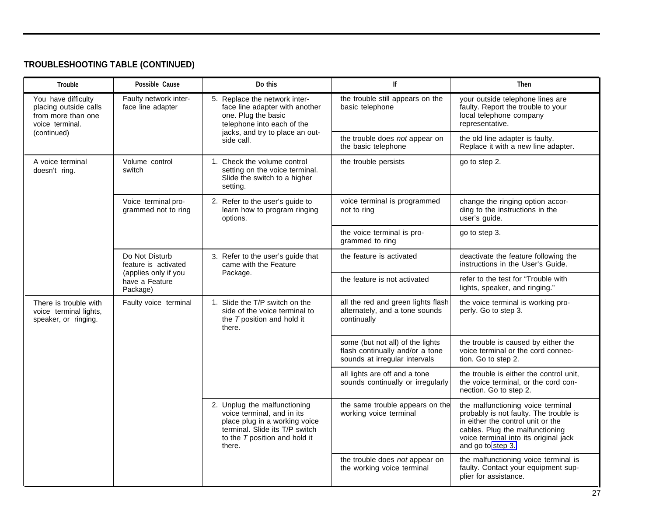## **TROUBLESHOOTING TABLE (CONTINUED)**

<span id="page-27-0"></span>

| Trouble                                                                                                    | Possible Cause                                     | Do this                                                                                                                                                                  | lf                                                                                                   | <b>Then</b>                                                                                                                                                                                                       |
|------------------------------------------------------------------------------------------------------------|----------------------------------------------------|--------------------------------------------------------------------------------------------------------------------------------------------------------------------------|------------------------------------------------------------------------------------------------------|-------------------------------------------------------------------------------------------------------------------------------------------------------------------------------------------------------------------|
| You have difficulty<br>face line adapter<br>placing outside calls<br>from more than one<br>voice terminal. | Faulty network inter-                              | 5. Replace the network inter-<br>face line adapter with another<br>one. Plug the basic<br>telephone into each of the                                                     | the trouble still appears on the<br>basic telephone                                                  | your outside telephone lines are<br>faulty. Report the trouble to your<br>local telephone company<br>representative.                                                                                              |
| (continued)                                                                                                |                                                    | jacks, and try to place an out-<br>side call.                                                                                                                            | the trouble does not appear on<br>the basic telephone                                                | the old line adapter is faulty.<br>Replace it with a new line adapter.                                                                                                                                            |
| A voice terminal<br>doesn't ring.                                                                          | Volume control<br>switch                           | 1. Check the volume control<br>setting on the voice terminal.<br>Slide the switch to a higher<br>setting.                                                                | the trouble persists                                                                                 | go to step 2.                                                                                                                                                                                                     |
|                                                                                                            | Voice terminal pro-<br>grammed not to ring         | 2. Refer to the user's guide to<br>learn how to program ringing<br>options.                                                                                              | voice terminal is programmed<br>not to ring                                                          | change the ringing option accor-<br>ding to the instructions in the<br>user's guide.                                                                                                                              |
|                                                                                                            |                                                    |                                                                                                                                                                          | the voice terminal is pro-<br>grammed to ring                                                        | go to step 3.                                                                                                                                                                                                     |
|                                                                                                            | Do Not Disturb<br>feature is activated             | 3. Refer to the user's guide that<br>came with the Feature<br>Package.                                                                                                   | the feature is activated                                                                             | deactivate the feature following the<br>instructions in the User's Guide.                                                                                                                                         |
|                                                                                                            | (applies only if you<br>have a Feature<br>Package) |                                                                                                                                                                          | the feature is not activated                                                                         | refer to the test for "Trouble with<br>lights, speaker, and ringing."                                                                                                                                             |
| There is trouble with<br>voice terminal lights,<br>speaker, or ringing.                                    | Faulty voice terminal                              | 1. Slide the T/P switch on the<br>side of the voice terminal to<br>the T position and hold it<br>there.                                                                  | all the red and green lights flash<br>alternately, and a tone sounds<br>continually                  | the voice terminal is working pro-<br>perly. Go to step 3.                                                                                                                                                        |
|                                                                                                            |                                                    |                                                                                                                                                                          | some (but not all) of the lights<br>flash continually and/or a tone<br>sounds at irregular intervals | the trouble is caused by either the<br>voice terminal or the cord connec-<br>tion. Go to step 2.                                                                                                                  |
|                                                                                                            |                                                    |                                                                                                                                                                          | all lights are off and a tone<br>sounds continually or irregularly                                   | the trouble is either the control unit,<br>the voice terminal, or the cord con-<br>nection. Go to step 2.                                                                                                         |
|                                                                                                            |                                                    | 2. Unplug the malfunctioning<br>voice terminal, and in its<br>place plug in a working voice<br>terminal. Slide its T/P switch<br>to the T position and hold it<br>there. | the same trouble appears on the<br>working voice terminal                                            | the malfunctioning voice terminal<br>probably is not faulty. The trouble is<br>in either the control unit or the<br>cables. Plug the malfunctioning<br>voice terminal into its original jack<br>and go to step 3. |
|                                                                                                            |                                                    |                                                                                                                                                                          | the trouble does not appear on<br>the working voice terminal                                         | the malfunctioning voice terminal is<br>faulty. Contact your equipment sup-<br>plier for assistance.                                                                                                              |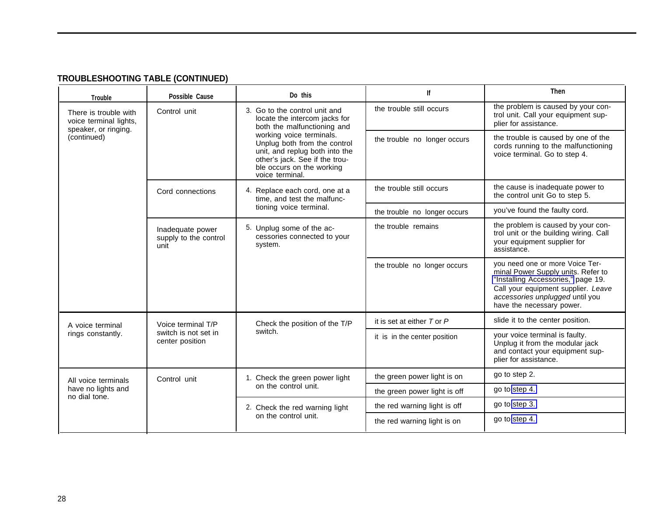## **TROUBLESHOOTING TABLE (CONTINUED)**

<span id="page-28-0"></span>

| <b>Trouble</b>                                                          | Possible Cause                                         | Do this                                                                                                                                                                                                                                                                       | lf                             | <b>Then</b>                                                                                                                                                                                                        |
|-------------------------------------------------------------------------|--------------------------------------------------------|-------------------------------------------------------------------------------------------------------------------------------------------------------------------------------------------------------------------------------------------------------------------------------|--------------------------------|--------------------------------------------------------------------------------------------------------------------------------------------------------------------------------------------------------------------|
| There is trouble with<br>voice terminal lights,<br>speaker, or ringing. | Control unit                                           | 3. Go to the control unit and<br>locate the intercom jacks for<br>both the malfunctioning and<br>working voice terminals.<br>Unplug both from the control<br>unit, and replug both into the<br>other's jack. See if the trou-<br>ble occurs on the working<br>voice terminal. | the trouble still occurs       | the problem is caused by your con-<br>trol unit. Call your equipment sup-<br>plier for assistance.                                                                                                                 |
| (continued)                                                             |                                                        |                                                                                                                                                                                                                                                                               | the trouble no longer occurs   | the trouble is caused by one of the<br>cords running to the malfunctioning<br>voice terminal. Go to step 4.                                                                                                        |
|                                                                         | Cord connections                                       | 4. Replace each cord, one at a<br>time, and test the malfunc-                                                                                                                                                                                                                 | the trouble still occurs       | the cause is inadequate power to<br>the control unit Go to step 5.                                                                                                                                                 |
|                                                                         |                                                        | tioning voice terminal.                                                                                                                                                                                                                                                       | the trouble no longer occurs   | you've found the faulty cord.                                                                                                                                                                                      |
|                                                                         | Inadequate power<br>supply to the control<br>unit      | 5. Unplug some of the ac-<br>cessories connected to your<br>system.                                                                                                                                                                                                           | the trouble remains            | the problem is caused by your con-<br>trol unit or the building wiring. Call<br>your equipment supplier for<br>assistance.                                                                                         |
|                                                                         |                                                        |                                                                                                                                                                                                                                                                               | the trouble no longer occurs   | you need one or more Voice Ter-<br>minal Power Supply units. Refer to<br>"Installing Accessories," page 19.<br>Call your equipment supplier. Leave<br>accessories unplugged until you<br>have the necessary power. |
| A voice terminal                                                        | Voice terminal T/P                                     | Check the position of the T/P                                                                                                                                                                                                                                                 | it is set at either $T$ or $P$ | slide it to the center position.                                                                                                                                                                                   |
| rings constantly.                                                       | switch is not set in<br>center position                | switch.                                                                                                                                                                                                                                                                       | it is in the center position   | your voice terminal is faulty.<br>Unplug it from the modular jack<br>and contact your equipment sup-<br>plier for assistance.                                                                                      |
| All voice terminals                                                     | Control unit                                           | 1. Check the green power light                                                                                                                                                                                                                                                | the green power light is on    | go to step 2.                                                                                                                                                                                                      |
| have no lights and<br>no dial tone.                                     | on the control unit.                                   | the green power light is off                                                                                                                                                                                                                                                  | go to step 4.                  |                                                                                                                                                                                                                    |
|                                                                         | 2. Check the red warning light<br>on the control unit. | the red warning light is off                                                                                                                                                                                                                                                  | go to step 3.                  |                                                                                                                                                                                                                    |
|                                                                         |                                                        |                                                                                                                                                                                                                                                                               | the red warning light is on    | go to step 4.                                                                                                                                                                                                      |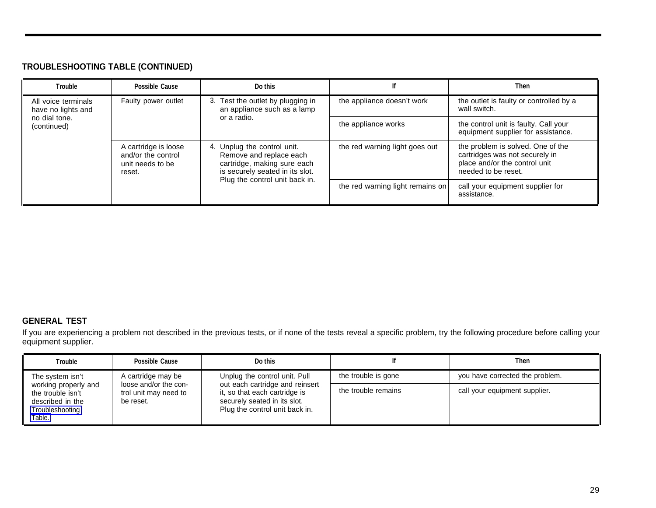#### <span id="page-29-5"></span><span id="page-29-4"></span>**TROUBLESHOOTING TABLE (CONTINUED)**

<span id="page-29-3"></span><span id="page-29-2"></span>

| <b>Trouble</b>                            | Possible Cause                                                                          | Do this                                                                                                                                                    |                                                         | Then                                                                                                                        |
|-------------------------------------------|-----------------------------------------------------------------------------------------|------------------------------------------------------------------------------------------------------------------------------------------------------------|---------------------------------------------------------|-----------------------------------------------------------------------------------------------------------------------------|
| All voice terminals<br>have no lights and | Faulty power outlet<br>3. Test the outlet by plugging in<br>an appliance such as a lamp | the appliance doesn't work                                                                                                                                 | the outlet is faulty or controlled by a<br>wall switch. |                                                                                                                             |
| no dial tone.<br>(continued)              |                                                                                         | or a radio.                                                                                                                                                | the appliance works                                     | the control unit is faulty. Call your<br>equipment supplier for assistance.                                                 |
|                                           | A cartridge is loose<br>and/or the control<br>unit needs to be<br>reset.                | 4. Unplug the control unit.<br>Remove and replace each<br>cartridge, making sure each<br>is securely seated in its slot.<br>Plug the control unit back in. | the red warning light goes out                          | the problem is solved. One of the<br>cartridges was not securely in<br>place and/or the control unit<br>needed to be reset. |
|                                           |                                                                                         |                                                                                                                                                            | the red warning light remains on                        | call your equipment supplier for<br>assistance.                                                                             |

#### <span id="page-29-1"></span><span id="page-29-0"></span>**GENERAL TEST**

If you are experiencing a problem not described in the previous tests, or if none of the tests reveal a specific problem, try the following procedure before calling your equipment supplier.

| <b>Trouble</b>                                                                             | Possible Cause                              | Do this                                                                                                                            |                     | <b>Then</b>                     |
|--------------------------------------------------------------------------------------------|---------------------------------------------|------------------------------------------------------------------------------------------------------------------------------------|---------------------|---------------------------------|
| The system isn't                                                                           | A cartridge may be<br>loose and/or the con- | Unplug the control unit. Pull                                                                                                      | the trouble is gone | you have corrected the problem. |
| working properly and<br>the trouble isn't<br>described in the<br>Troubleshooting<br>Table. | trol unit may need to<br>be reset.          | out each cartridge and reinsert<br>it, so that each cartridge is<br>securely seated in its slot.<br>Plug the control unit back in. | the trouble remains | call your equipment supplier.   |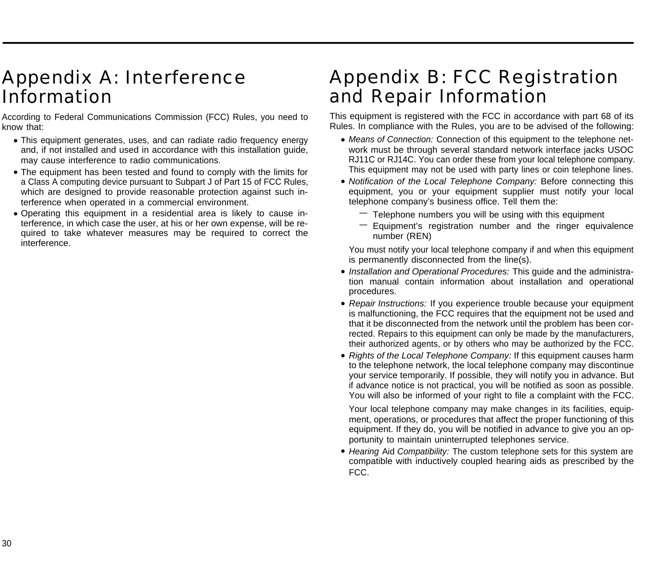## <span id="page-30-2"></span><span id="page-30-0"></span>Appendix A: Interference Information

According to Federal Communications Commission (FCC) Rules, you need to know that:

- This equipment generates, uses, and can radiate radio frequency energy and, if not installed and used in accordance with this installation guide, may cause interference to radio communications.
- The equipment has been tested and found to comply with the limits for a Class A computing device pursuant to Subpart J of Part 15 of FCC Rules, which are designed to provide reasonable protection against such interference when operated in a commercial environment.
- Operating this equipment in a residential area is likely to cause interference, in which case the user, at his or her own expense, will be required to take whatever measures may be required to correct the interference.

## <span id="page-30-1"></span>Appendix B: FCC Registration and Repair Information

This equipment is registered with the FCC in accordance with part 68 of its Rules. In compliance with the Rules, you are to be advised of the following:

- Means of Connection: Connection of this equipment to the telephone network must be through several standard network interface jacks USOC RJ11C or RJ14C. You can order these from your local telephone company. This equipment may not be used with party lines or coin telephone lines.
- Notification of the Local Telephone Company: Before connecting this equipment, you or your equipment supplier must notify your local telephone company's business office. Tell them the:
	- $-$  Telephone numbers you will be using with this equipment
	- $-$  Equipment's registration number and the ringer equivalence number (REN)

You must notify your local telephone company if and when this equipment is permanently disconnected from the line(s).

- Installation and Operational Procedures: This guide and the administration manual contain information about installation and operational procedures.
- Repair Instructions: If you experience trouble because your equipment is malfunctioning, the FCC requires that the equipment not be used and that it be disconnected from the network until the problem has been corrected. Repairs to this equipment can only be made by the manufacturers, their authorized agents, or by others who may be authorized by the FCC.
- Rights of the Local Telephone Company: If this equipment causes harm to the telephone network, the local telephone company may discontinue your service temporarily. If possible, they will notify you in advance. But if advance notice is not practical, you will be notified as soon as possible. You will also be informed of your right to file a complaint with the FCC.

Your local telephone company may make changes in its facilities, equipment, operations, or procedures that affect the proper functioning of this equipment. If they do, you will be notified in advance to give you an opportunity to maintain uninterrupted telephones service.

• Hearing Aid Compatibility: The custom telephone sets for this system are compatible with inductively coupled hearing aids as prescribed by the FCC.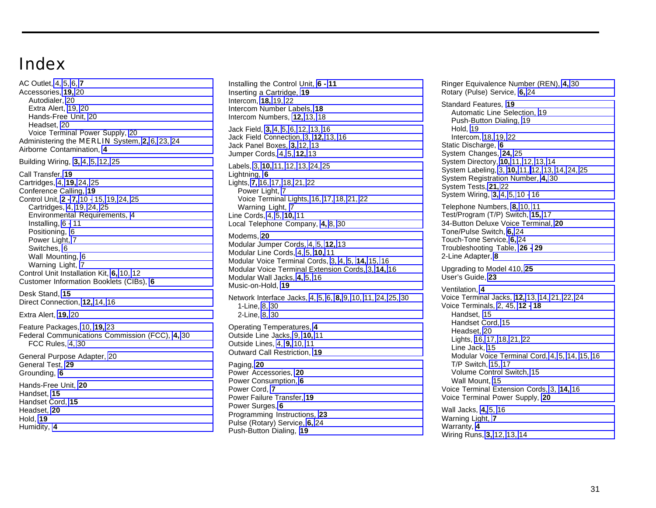## <span id="page-31-0"></span>Index

AC Outlet, [4,](#page-4-0) [5,](#page-5-0) [6,](#page-6-4) **[7](#page-7-1)** Accessories, **[19,](#page-19-4)** [20](#page-20-1) Autodialer, [20](#page-20-1) Extra Alert, [19,](#page-19-4) [20](#page-20-1) Hands-Free Unit, [20](#page-20-1) Headset, [20](#page-20-1) Voice Terminal Power Supply, [20](#page-20-1) Administering the MERLIN System, **[2,](#page-2-1)** [6,](#page-6-4) [23,](#page-23-3) [24](#page-24-6) Airborne Contamination, **[4](#page-4-0)** Building Wiring, **[3,](#page-3-3)** [4,](#page-4-0) [5,](#page-5-0) [12,](#page-12-5) [25](#page-25-1) Call Transfer, **[19](#page-19-4)** Cartridges, [4,](#page-4-0) **[19,](#page-19-4)** [24,](#page-24-6) [25](#page-25-1) Conference Calling, **[19](#page-19-4)** Control Unit, **[2 -](#page-2-1) [7,](#page-7-1)** [10 -](#page-10-2) [15,](#page-15-7) [19,](#page-19-4) [24,](#page-24-6) [25](#page-25-1) Cartridges, [4,](#page-4-0) [19,](#page-19-4) [24,](#page-24-6) [25](#page-25-1) Environmental Requirements, [4](#page-4-0) Installing, [6 -](#page-6-4) [11](#page-11-1) Positioning, [6](#page-6-4) Power Light, [7](#page-7-1) Switches, [6](#page-6-4) Wall Mounting, [6](#page-6-4) Warning Light, [7](#page-7-1) Control Unit Installation Kit, **[6,](#page-6-4)** [10,](#page-10-2) [12](#page-12-5) Customer Information Booklets (CIBs), **[6](#page-6-4)** Desk Stand, **[15](#page-15-6)** Direct Connection, **[12,](#page-12-5)** [14,](#page-14-1) [16](#page-16-1) Extra Alert, **[19,](#page-19-4)** [20](#page-20-1) Feature Packages, [10,](#page-10-2) **[19,](#page-19-4)** [23](#page-23-3) Federal Communications Commission (FCC), **[4,](#page-4-0)** [30](#page-30-2) FCC Rules, [4,](#page-4-0) [30](#page-30-2) General Purpose Adapter, [20](#page-20-1) General Test, **[29](#page-29-4)**

Grounding, **[6](#page-6-4)** Hands-Free Unit, **[20](#page-20-1)** Handset, **[15](#page-15-6)** Handset Cord, **[15](#page-15-6)** Headset, **[20](#page-20-1)** Hold, **[19](#page-19-4)** Humidity, **[4](#page-4-0)**

Installing the Control Unit, **[6 -](#page-6-4) [11](#page-11-1)** Inserting a Cartridge, **[19](#page-19-4)** Intercom, **[18,](#page-18-2)** [19,](#page-19-4) [22](#page-22-1) Intercom Number Labels, **[18](#page-18-2)** Intercom Numbers, **[12,](#page-12-5)** [13,](#page-13-0) [18](#page-18-2) Jack Field, **[3,](#page-3-3)** [4,](#page-4-0) [5,](#page-5-0) [6,](#page-6-4) [12,](#page-12-5) [13,](#page-13-0) [16](#page-16-1) Jack Field Connection, [3,](#page-3-3) **[12,](#page-12-5)** [13,](#page-13-0) [16](#page-16-1) Jack Panel Boxes, **[3,](#page-3-3)** [12,](#page-12-5) [13](#page-13-0) Jumper Cords, [4,](#page-4-0) [5,](#page-5-0) **[12,](#page-12-5)** [13](#page-13-0) Labels, [3,](#page-3-3) **[10,](#page-10-2)** [11,](#page-11-0) [12,](#page-12-5) [13,](#page-13-0) [24,](#page-24-6) [25](#page-25-1) Lightning, **[6](#page-6-4)** Lights, **[7,](#page-7-1)** [16,](#page-16-1) [17,](#page-17-1) [18,](#page-18-2) [21,](#page-21-3) [22](#page-22-1) Power Light, [7](#page-7-1) Voice Terminal Lights, [16,](#page-16-1) [17,](#page-17-1) [18,](#page-18-2) [21,](#page-21-3) [22](#page-22-1) Warning Light, [7](#page-7-1) Line Cords, [4,](#page-4-0) [5,](#page-5-0) **[10,](#page-10-2)** [11](#page-11-0) Local Telephone Company, **[4,](#page-4-0)** [8,](#page-8-2) [30](#page-30-2) Modems, **[20](#page-20-1)** Modular Jumper Cords, [4,](#page-4-0) [5,](#page-5-0) **[12,](#page-12-5)** [13](#page-13-0) Modular Line Cords, [4,](#page-4-0) [5,](#page-5-0) **[10,](#page-10-2)** [11](#page-11-0) Modular Voice Terminal Cords, [3,](#page-3-3) [4,](#page-4-0) [5,](#page-5-0) **[14,](#page-14-1)** [15,](#page-15-6) [16](#page-16-1) Modular Voice Terminal Extension Cords, [3,](#page-3-3) **[14,](#page-14-1)** [16](#page-16-1) Modular Wall Jacks, **[4,](#page-4-0)** [5,](#page-5-0) [16](#page-16-1) Music-on-Hold, **[19](#page-19-4)** Network Interface Jacks, [4,](#page-4-0) [5,](#page-5-0) [6,](#page-6-4) **[8,](#page-8-2)** [9,](#page-9-2) [10,](#page-10-2) [11,](#page-11-0) [24,](#page-24-6) [25,](#page-25-1) [30](#page-30-2) 1-Line, [8,](#page-8-2) [30](#page-30-2) 2-Line, [8,](#page-8-2) [30](#page-30-2) Operating Temperatures, **[4](#page-4-0)** Outside Line Jacks, [9,](#page-9-2) **[10,](#page-10-2)** [11](#page-11-0) Outside Lines, [4,](#page-4-0) **[9,](#page-9-2)** [10,](#page-10-2) [11](#page-11-0) Outward Call Restriction, **[19](#page-19-4)** Paging, **[20](#page-20-1)** Power Accessories, **[20](#page-20-1)** Power Consumption, **[6](#page-6-4)** Power Cord, **[7](#page-7-1)**

Power Failure Transfer, **[19](#page-19-4)**

Programming Instructions, **[23](#page-23-3)** Pulse (Rotary) Service, **[6,](#page-6-4)** [24](#page-24-6) Push-Button Dialing, **[19](#page-19-4)**

Power Surges, **[6](#page-6-4)**

Rotary (Pulse) Service, **[6,](#page-6-4)** [24](#page-24-6) Standard Features, **[19](#page-19-4)** Automatic Line Selection, [19](#page-19-4) Push-Button Dialing, [19](#page-19-4) Hold, [19](#page-19-4) Intercom, [18,](#page-18-2) [19,](#page-19-4) [22](#page-22-1) Static Discharge, **[6](#page-6-4)** System Changes, **[24,](#page-24-6)** [25](#page-25-1) System Directory, **[10,](#page-10-2)** [11,](#page-11-0) [12,](#page-12-5) [13,](#page-13-0) [14](#page-14-1) System Labeling, [3,](#page-3-3) **[10,](#page-10-2)** [11,](#page-11-0) [12,](#page-12-5) [13,](#page-13-0) [14,](#page-14-1) [24,](#page-24-6) [25](#page-25-1) System Registration Number, **[4,](#page-4-0)** [30](#page-30-2) System Tests, **[21,](#page-21-3)** [22](#page-22-1) System Wiring, **[3,](#page-3-3)** [4,](#page-4-0) [5,](#page-5-0) [10 -](#page-10-2) [16](#page-16-2) Telephone Numbers, **[8,](#page-8-2)** [10,](#page-10-2) [11](#page-11-0) Test/Program (T/P) Switch, **[15,](#page-15-6)** [17](#page-17-1) 34-Button Deluxe Voice Terminal, **[20](#page-20-1)** Tone/Pulse Switch, **[6,](#page-6-4)** [24](#page-24-6) Touch-Tone Service, **[6,](#page-6-4)** [24](#page-24-6) Troubleshooting Table, **[26 -](#page-26-6) [29](#page-29-5)** 2-Line Adapter, **[8](#page-8-2)** Upgrading to Model 410, **[25](#page-25-1)** User's Guide, **[23](#page-23-3)** Ventilation, **[4](#page-4-0)** Voice Terminal Jacks, **[12,](#page-12-5)** [13,](#page-13-0) [14,](#page-14-1) [21,](#page-21-3) [22,](#page-22-1) [24](#page-24-6) Voice Terminals, [2, 45,](#page-2-1) **[12 -](#page-12-5) [18](#page-18-3)** Handset, [15](#page-15-6) Handset Cord, [15](#page-15-6) Headset, [20](#page-20-1) Lights, [16,](#page-16-1) [17,](#page-17-1) [18,](#page-18-2) [21,](#page-21-3) [22](#page-22-1) Line Jack, [15](#page-15-6) Modular Voice Terminal Cord, [4,](#page-4-0) [5,](#page-5-0) [14,](#page-14-1) [15,](#page-15-6) [16](#page-16-1) T/P Switch, [15,](#page-15-6) [17](#page-17-1) Volume Control Switch, [15](#page-15-6) Wall Mount, [15](#page-15-6) Voice Terminal Extension Cords, [3,](#page-3-3) **[14,](#page-14-1)** [16](#page-16-1) Voice Terminal Power Supply, **[20](#page-20-1)** Wall Jacks, **[4,](#page-4-0)** [5,](#page-5-0) [16](#page-16-1) Warning Light, **[7](#page-7-1)** Warranty, **[4](#page-4-0)**

Wiring Runs, **[3,](#page-3-3)** [12,](#page-12-5) [13,](#page-13-0) [14](#page-14-1)

Ringer Equivalence Number (REN), **[4,](#page-4-0)** [30](#page-30-2)